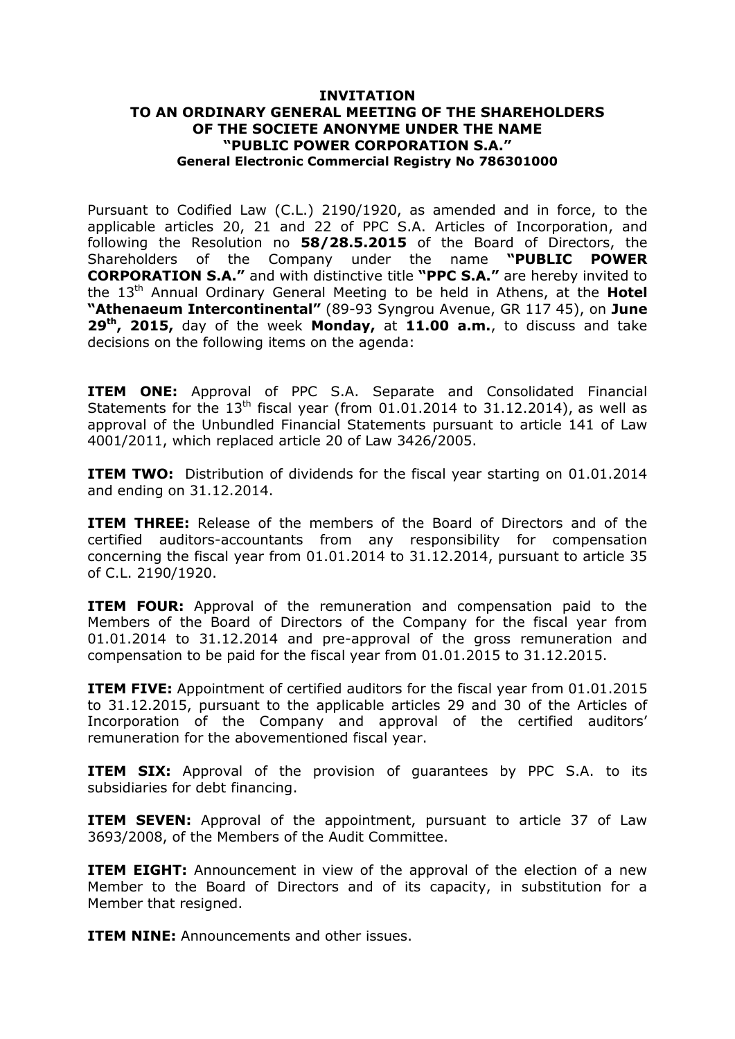## **INVITATION TO AN ORDINARY GENERAL MEETING OF THE SHAREHOLDERS OF THE SOCIETE ANONYME UNDER THE NAME "PUBLIC POWER CORPORATION S.A." General Electronic Commercial Registry No 786301000**

Pursuant to Codified Law (C.L.) 2190/1920, as amended and in force, to the applicable articles 20, 21 and 22 of PPC S.A. Articles of Incorporation, and following the Resolution no **58/28.5.2015** of the Board of Directors, the Shareholders of the Company under the name **"PUBLIC POWER CORPORATION S.A."** and with distinctive title **"PPC S.A."** are hereby invited to the 13<sup>th</sup> Annual Ordinary General Meeting to be held in Athens, at the **Hotel "Athenaeum Intercontinental"** (89-93 Syngrou Avenue, GR 117 45), on **June 29 th , 2015,** day of the week **Monday,** at **11.00 a.m.**, to discuss and take decisions on the following items on the agenda:

**ITEM ONE:** Approval of PPC S.A. Separate and Consolidated Financial Statements for the  $13<sup>th</sup>$  fiscal year (from 01.01.2014 to 31.12.2014), as well as approval of the Unbundled Financial Statements pursuant to article 141 of Law 4001/2011, which replaced article 20 of Law 3426/2005.

**ITEM TWO:** Distribution of dividends for the fiscal year starting on 01.01.2014 and ending on 31.12.2014.

**ITEM THREE:** Release of the members of the Board of Directors and of the certified auditors-accountants from any responsibility for compensation concerning the fiscal year from 01.01.2014 to 31.12.2014, pursuant to article 35 of C.L. 2190/1920.

**ITEM FOUR:** Approval of the remuneration and compensation paid to the Members of the Board of Directors of the Company for the fiscal year from 01.01.2014 to 31.12.2014 and pre-approval of the gross remuneration and compensation to be paid for the fiscal year from 01.01.2015 to 31.12.2015.

**ITEM FIVE:** Appointment of certified auditors for the fiscal year from 01.01.2015 to 31.12.2015, pursuant to the applicable articles 29 and 30 of the Articles of Incorporation of the Company and approval of the certified auditors' remuneration for the abovementioned fiscal year.

**ITEM SIX:** Approval of the provision of quarantees by PPC S.A. to its subsidiaries for debt financing.

**ITEM SEVEN:** Approval of the appointment, pursuant to article 37 of Law 3693/2008, of the Members of the Audit Committee.

**ITEM EIGHT:** Announcement in view of the approval of the election of a new Member to the Board of Directors and of its capacity, in substitution for a Member that resigned.

**ITEM NINE:** Announcements and other issues.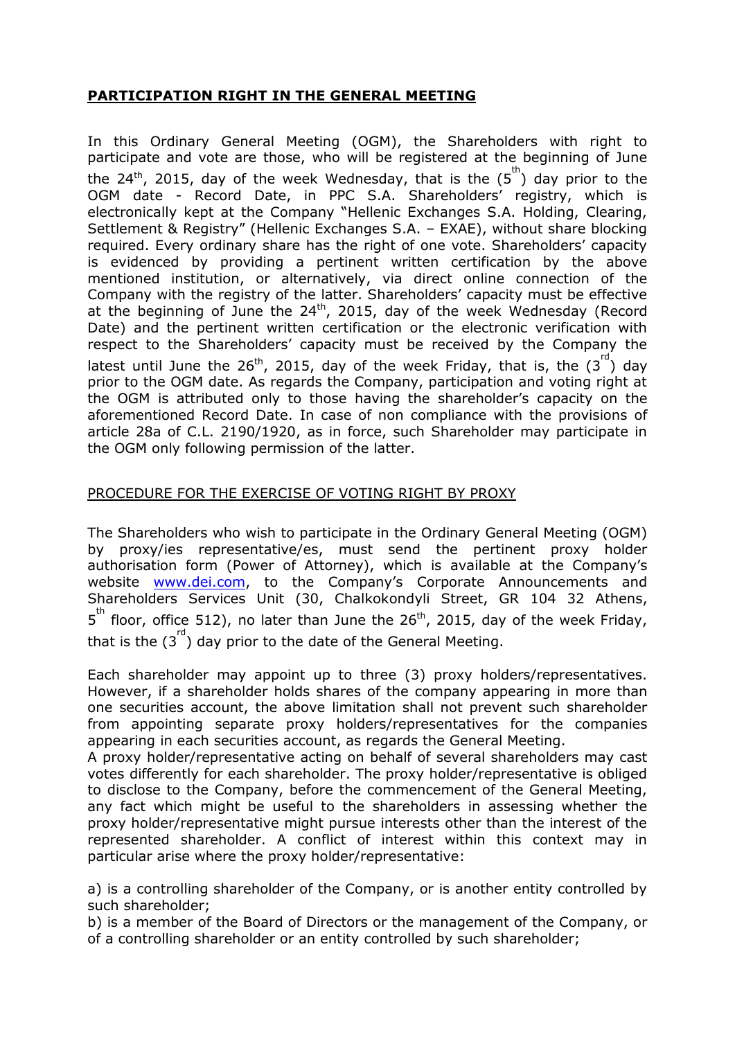# **PARTICIPATION RIGHT IN THE GENERAL MEETING**

In this Ordinary General Meeting (OGM), the Shareholders with right to participate and vote are those, who will be registered at the beginning of June the 24<sup>th</sup>, 2015, day of the week Wednesday, that is the  $(5^{\text{th}})$  day prior to the OGM date - Record Date, in PPC S.A. Shareholders' registry, which is electronically kept at the Company "Hellenic Exchanges S.A. Holding, Clearing, Settlement & Registry" (Hellenic Exchanges S.A. – EXAE), without share blocking required. Every ordinary share has the right of one vote. Shareholders' capacity is evidenced by providing a pertinent written certification by the above mentioned institution, or alternatively, via direct online connection of the Company with the registry of the latter. Shareholders' capacity must be effective at the beginning of June the  $24^{th}$ , 2015, day of the week Wednesday (Record Date) and the pertinent written certification or the electronic verification with respect to the Shareholders' capacity must be received by the Company the latest until June the 26<sup>th</sup>, 2015, day of the week Friday, that is, the  $(3^{\text{rd}})$  day prior to the OGM date. As regards the Company, participation and voting right at the OGM is attributed only to those having the shareholder's capacity on the aforementioned Record Date. In case of non compliance with the provisions of article 28a of C.L. 2190/1920, as in force, such Shareholder may participate in the OGM only following permission of the latter.

# PROCEDURE FOR THE EXERCISE OF VOTING RIGHT BY PROXY

The Shareholders who wish to participate in the Ordinary General Meeting (OGM) by proxy/ies representative/es, must send the pertinent proxy holder authorisation form (Power of Attorney), which is available at the Company's website [www.dei.com](http://www.dei.com/), to the Company's Corporate Announcements and Shareholders Services Unit (30, Chalkokondyli Street, GR 104 32 Athens,  $5<sup>th</sup>$  floor, office 512), no later than June the 26<sup>th</sup>, 2015, day of the week Friday, that is the  $(3^{rd})$  day prior to the date of the General Meeting.

Each shareholder may appoint up to three (3) proxy holders/representatives. However, if a shareholder holds shares of the company appearing in more than one securities account, the above limitation shall not prevent such shareholder from appointing separate proxy holders/representatives for the companies appearing in each securities account, as regards the General Meeting.

A proxy holder/representative acting on behalf of several shareholders may cast votes differently for each shareholder. The proxy holder/representative is obliged to disclose to the Company, before the commencement of the General Meeting, any fact which might be useful to the shareholders in assessing whether the proxy holder/representative might pursue interests other than the interest of the represented shareholder. A conflict of interest within this context may in particular arise where the proxy holder/representative:

a) is a controlling shareholder of the Company, or is another entity controlled by such shareholder;

b) is a member of the Board of Directors or the management of the Company, or of a controlling shareholder or an entity controlled by such shareholder;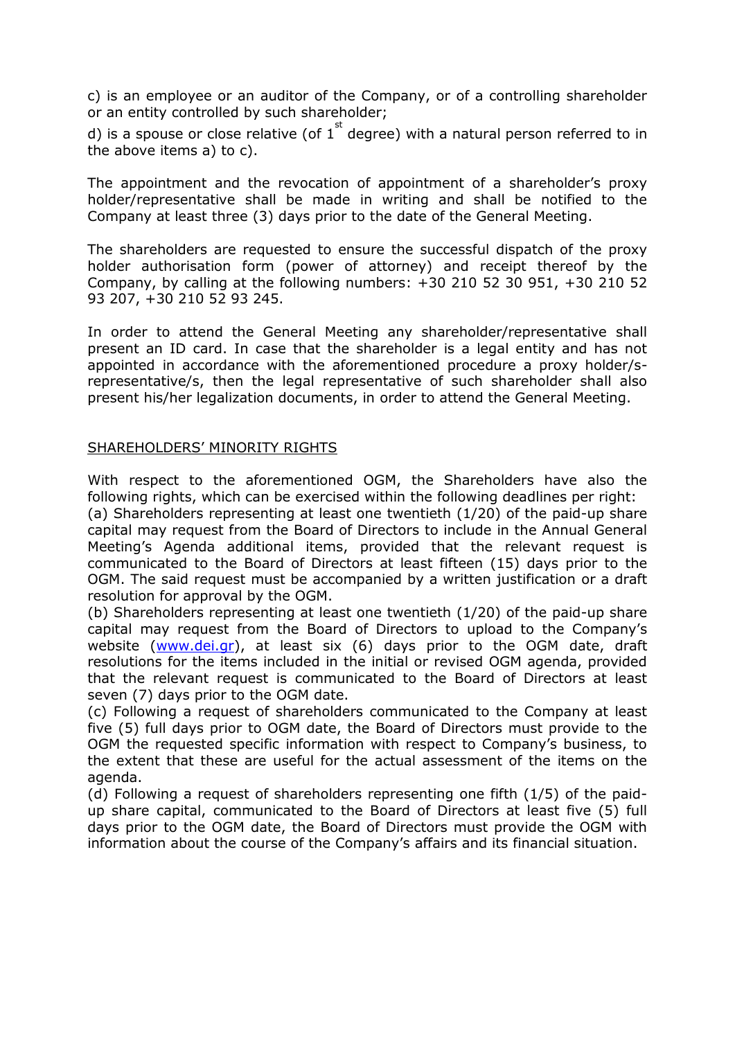c) is an employee or an auditor of the Company, or of a controlling shareholder or an entity controlled by such shareholder;

d) is a spouse or close relative (of  $1^{st}$  degree) with a natural person referred to in the above items a) to c).

The appointment and the revocation of appointment of a shareholder's proxy holder/representative shall be made in writing and shall be notified to the Company at least three (3) days prior to the date of the General Meeting.

The shareholders are requested to ensure the successful dispatch of the proxy holder authorisation form (power of attorney) and receipt thereof by the Company, by calling at the following numbers: +30 210 52 30 951, +30 210 52 93 207, +30 210 52 93 245.

In order to attend the General Meeting any shareholder/representative shall present an ID card. In case that the shareholder is a legal entity and has not appointed in accordance with the aforementioned procedure a proxy holder/srepresentative/s, then the legal representative of such shareholder shall also present his/her legalization documents, in order to attend the General Meeting.

#### SHAREHOLDERS' MINORITY RIGHTS

With respect to the aforementioned OGM, the Shareholders have also the following rights, which can be exercised within the following deadlines per right:

(a) Shareholders representing at least one twentieth (1/20) of the paid-up share capital may request from the Board of Directors to include in the Annual General Meeting's Agenda additional items, provided that the relevant request is communicated to the Board of Directors at least fifteen (15) days prior to the OGM. The said request must be accompanied by a written justification or a draft resolution for approval by the OGM.

(b) Shareholders representing at least one twentieth (1/20) of the paid-up share capital may request from the Board of Directors to upload to the Company's website [\(www.dei.gr\)](http://www.dei.gr/), at least six (6) days prior to the OGM date, draft resolutions for the items included in the initial or revised OGM agenda, provided that the relevant request is communicated to the Board of Directors at least seven (7) days prior to the OGM date.

(c) Following a request of shareholders communicated to the Company at least five (5) full days prior to OGM date, the Board of Directors must provide to the OGM the requested specific information with respect to Company's business, to the extent that these are useful for the actual assessment of the items on the agenda.

(d) Following a request of shareholders representing one fifth (1/5) of the paidup share capital, communicated to the Board of Directors at least five (5) full days prior to the OGM date, the Board of Directors must provide the OGM with information about the course of the Company's affairs and its financial situation.